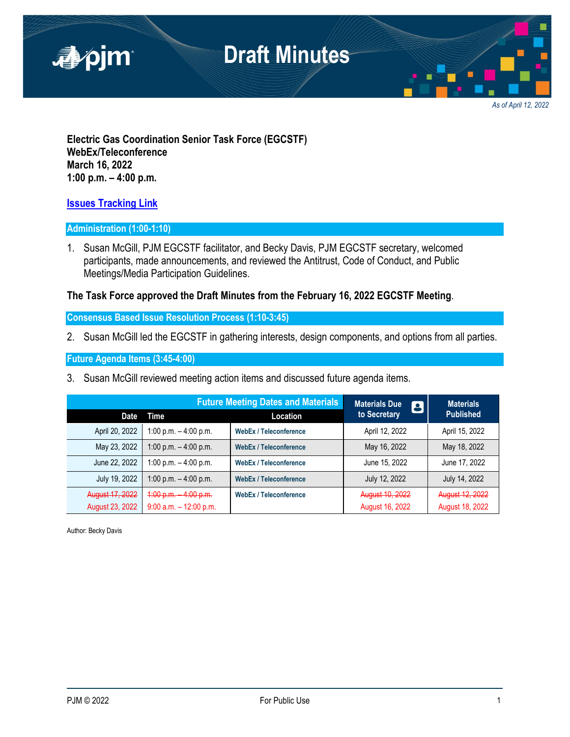

*As of April 12, 2022*

**Electric Gas Coordination Senior Task Force (EGCSTF) WebEx/Teleconference March 16, 2022 1:00 p.m. – 4:00 p.m.** 

#### **[Issues Tracking Link](https://www.pjm.com/committees-and-groups/issue-tracking/issue-tracking-details.aspx?Issue=e3c8385c-0638-4a1d-a5d2-8b1a2a87c295)**

#### **Administration (1:00-1:10)**

1. Susan McGill, PJM EGCSTF facilitator, and Becky Davis, PJM EGCSTF secretary, welcomed participants, made announcements, and reviewed the Antitrust, Code of Conduct, and Public Meetings/Media Participation Guidelines.

#### **The Task Force approved the Draft Minutes from the February 16, 2022 EGCSTF Meeting**.

**Consensus Based Issue Resolution Process (1:10-3:45)** 

2. Susan McGill led the EGCSTF in gathering interests, design components, and options from all parties.

**Future Agenda Items (3:45-4:00)** 

3. Susan McGill reviewed meeting action items and discussed future agenda items.

|                                    | <b>Future Meeting Dates and Materials</b>          |                               | <b>Materials Due</b><br>8          | <b>Materials</b>                   |
|------------------------------------|----------------------------------------------------|-------------------------------|------------------------------------|------------------------------------|
| <b>Date</b>                        | Time                                               | Location                      | to Secretary                       | <b>Published</b>                   |
| April 20, 2022                     | 1:00 p.m. $-$ 4:00 p.m.                            | <b>WebEx / Teleconference</b> | April 12, 2022                     | April 15, 2022                     |
| May 23, 2022                       | 1:00 p.m. $-$ 4:00 p.m.                            | <b>WebEx / Teleconference</b> | May 16, 2022                       | May 18, 2022                       |
| June 22, 2022                      | 1:00 p.m. $-$ 4:00 p.m.                            | <b>WebEx / Teleconference</b> | June 15, 2022                      | June 17, 2022                      |
| July 19, 2022                      | 1:00 p.m. $-$ 4:00 p.m.                            | <b>WebEx / Teleconference</b> | July 12, 2022                      | July 14, 2022                      |
| August 17, 2022<br>August 23, 2022 | $4:00 p.m.$ 4:00 p.m.<br>$9:00$ a.m. $-12:00$ p.m. | <b>WebEx / Teleconference</b> | August 10, 2022<br>August 16, 2022 | August 12, 2022<br>August 18, 2022 |

Author: Becky Davis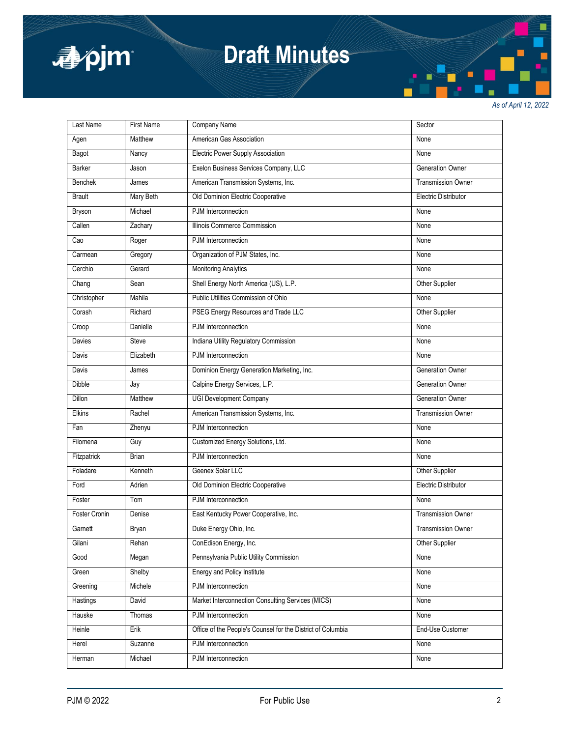

# **Draft Minutes**

*As of April 12, 2022*

| Last Name     | <b>First Name</b> | Company Name                                                | Sector                      |
|---------------|-------------------|-------------------------------------------------------------|-----------------------------|
| Agen          | Matthew           | American Gas Association                                    | None                        |
| Bagot         | Nancy             | <b>Electric Power Supply Association</b>                    | None                        |
| Barker        | Jason             | Exelon Business Services Company, LLC                       | <b>Generation Owner</b>     |
| Benchek       | James             | American Transmission Systems, Inc.                         | <b>Transmission Owner</b>   |
| <b>Brault</b> | Mary Beth         | Old Dominion Electric Cooperative                           | Electric Distributor        |
| <b>Bryson</b> | Michael           | PJM Interconnection                                         | None                        |
| Callen        | Zachary           | Illinois Commerce Commission                                | None                        |
| Cao           | Roger             | PJM Interconnection                                         | None                        |
| Carmean       | Gregory           | Organization of PJM States, Inc.                            | None                        |
| Cerchio       | Gerard            | <b>Monitoring Analytics</b>                                 | None                        |
| Chang         | Sean              | Shell Energy North America (US), L.P.                       | Other Supplier              |
| Christopher   | Mahila            | Public Utilities Commission of Ohio                         | None                        |
| Corash        | Richard           | PSEG Energy Resources and Trade LLC                         | Other Supplier              |
| Croop         | Danielle          | PJM Interconnection                                         | None                        |
| Davies        | Steve             | Indiana Utility Regulatory Commission                       | None                        |
| Davis         | Elizabeth         | PJM Interconnection                                         | None                        |
| Davis         | James             | Dominion Energy Generation Marketing, Inc.                  | <b>Generation Owner</b>     |
| Dibble        | Jay               | Calpine Energy Services, L.P.                               | <b>Generation Owner</b>     |
| Dillon        | Matthew           | <b>UGI Development Company</b>                              | <b>Generation Owner</b>     |
| Elkins        | Rachel            | American Transmission Systems, Inc.                         | <b>Transmission Owner</b>   |
| Fan           | Zhenyu            | PJM Interconnection                                         | None                        |
| Filomena      | Guy               | Customized Energy Solutions, Ltd.                           | None                        |
| Fitzpatrick   | <b>Brian</b>      | PJM Interconnection                                         | None                        |
| Foladare      | Kenneth           | Geenex Solar LLC                                            | Other Supplier              |
| Ford          | Adrien            | Old Dominion Electric Cooperative                           | <b>Electric Distributor</b> |
| Foster        | Tom               | PJM Interconnection                                         | None                        |
| Foster Cronin | Denise            | East Kentucky Power Cooperative, Inc.                       | <b>Transmission Owner</b>   |
| Garnett       | <b>Bryan</b>      | Duke Energy Ohio, Inc.                                      | <b>Transmission Owner</b>   |
| Gilani        | Rehan             | ConEdison Energy, Inc.                                      | Other Supplier              |
| Good          | Megan             | Pennsylvania Public Utility Commission                      | None                        |
| Green         | Shelby            | Energy and Policy Institute                                 | None                        |
| Greening      | Michele           | PJM Interconnection                                         | None                        |
| Hastings      | David             | Market Interconnection Consulting Services (MICS)           | None                        |
| Hauske        | Thomas            | PJM Interconnection                                         | None                        |
| Heinle        | Erik              | Office of the People's Counsel for the District of Columbia | End-Use Customer            |
| Herel         | Suzanne           | PJM Interconnection                                         | None                        |
| Herman        | Michael           | PJM Interconnection                                         | None                        |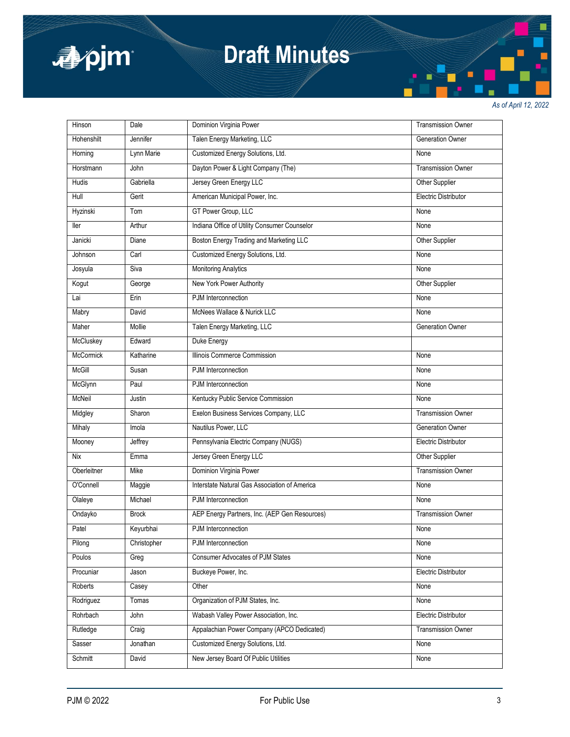

# **Draft Minutes**

*As of April 12, 2022*

| Hinson      | Dale         | Dominion Virginia Power                       | <b>Transmission Owner</b>   |
|-------------|--------------|-----------------------------------------------|-----------------------------|
| Hohenshilt  | Jennifer     | Talen Energy Marketing, LLC                   | Generation Owner            |
| Horning     | Lynn Marie   | Customized Energy Solutions, Ltd.             | None                        |
| Horstmann   | John         | Dayton Power & Light Company (The)            | <b>Transmission Owner</b>   |
| Hudis       | Gabriella    | Jersey Green Energy LLC                       | Other Supplier              |
| Hull        | Gerit        | American Municipal Power, Inc.                | <b>Electric Distributor</b> |
| Hyzinski    | Tom          | GT Power Group, LLC                           | None                        |
| ller        | Arthur       | Indiana Office of Utility Consumer Counselor  | None                        |
| Janicki     | Diane        | Boston Energy Trading and Marketing LLC       | Other Supplier              |
| Johnson     | Carl         | Customized Energy Solutions, Ltd.             | None                        |
| Josyula     | Siva         | <b>Monitoring Analytics</b>                   | None                        |
| Kogut       | George       | New York Power Authority                      | Other Supplier              |
| Lai         | Erin         | PJM Interconnection                           | None                        |
| Mabry       | David        | McNees Wallace & Nurick LLC                   | None                        |
| Maher       | Mollie       | Talen Energy Marketing, LLC                   | Generation Owner            |
| McCluskey   | Edward       | Duke Energy                                   |                             |
| McCormick   | Katharine    | Illinois Commerce Commission                  | None                        |
| McGill      | Susan        | PJM Interconnection                           | None                        |
| McGlynn     | Paul         | PJM Interconnection                           | None                        |
| McNeil      | Justin       | Kentucky Public Service Commission            | None                        |
| Midgley     | Sharon       | Exelon Business Services Company, LLC         | Transmission Owner          |
| Mihaly      | Imola        | Nautilus Power, LLC                           | <b>Generation Owner</b>     |
| Mooney      | Jeffrey      | Pennsylvania Electric Company (NUGS)          | <b>Electric Distributor</b> |
| Nix         | Emma         | Jersey Green Energy LLC                       | Other Supplier              |
| Oberleitner | Mike         | Dominion Virginia Power                       | <b>Transmission Owner</b>   |
| O'Connell   | Maggie       | Interstate Natural Gas Association of America | None                        |
| Olaleye     | Michael      | PJM Interconnection                           | None                        |
| Ondayko     | <b>Brock</b> | AEP Energy Partners, Inc. (AEP Gen Resources) | <b>Transmission Owner</b>   |
| Patel       | Keyurbhai    | PJM Interconnection                           | None                        |
| Pilong      | Christopher  | PJM Interconnection                           | None                        |
| Poulos      | Greg         | <b>Consumer Advocates of PJM States</b>       | None                        |
| Procuniar   | Jason        | Buckeye Power, Inc.                           | <b>Electric Distributor</b> |
| Roberts     | Casey        | Other                                         | None                        |
| Rodriguez   | Tomas        | Organization of PJM States, Inc.              | None                        |
| Rohrbach    | John         | Wabash Valley Power Association, Inc.         | Electric Distributor        |
| Rutledge    | Craig        | Appalachian Power Company (APCO Dedicated)    | <b>Transmission Owner</b>   |
| Sasser      | Jonathan     | Customized Energy Solutions, Ltd.             | None                        |
| Schmitt     | David        | New Jersey Board Of Public Utilities          | None                        |